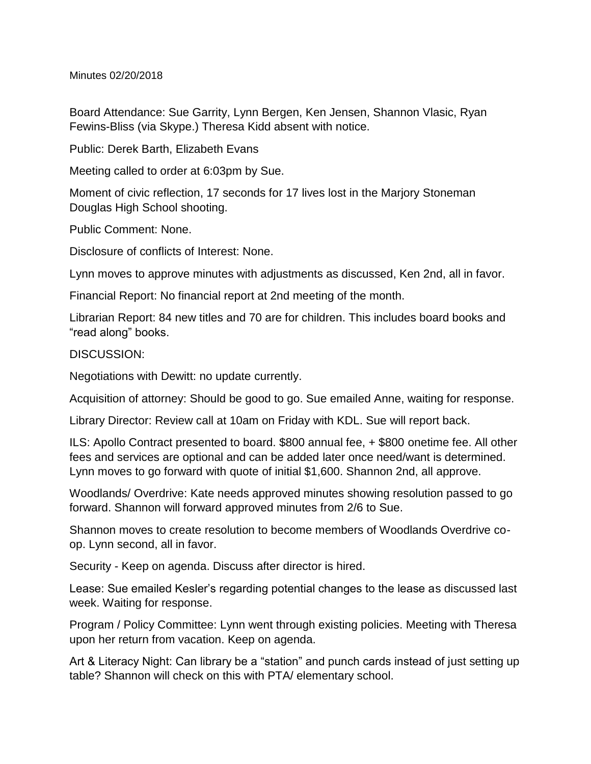Minutes 02/20/2018

Board Attendance: Sue Garrity, Lynn Bergen, Ken Jensen, Shannon Vlasic, Ryan Fewins-Bliss (via Skype.) Theresa Kidd absent with notice.

Public: Derek Barth, Elizabeth Evans

Meeting called to order at 6:03pm by Sue.

Moment of civic reflection, 17 seconds for 17 lives lost in the Marjory Stoneman Douglas High School shooting.

Public Comment: None.

Disclosure of conflicts of Interest: None.

Lynn moves to approve minutes with adjustments as discussed, Ken 2nd, all in favor.

Financial Report: No financial report at 2nd meeting of the month.

Librarian Report: 84 new titles and 70 are for children. This includes board books and "read along" books.

DISCUSSION:

Negotiations with Dewitt: no update currently.

Acquisition of attorney: Should be good to go. Sue emailed Anne, waiting for response.

Library Director: Review call at 10am on Friday with KDL. Sue will report back.

ILS: Apollo Contract presented to board. \$800 annual fee, + \$800 onetime fee. All other fees and services are optional and can be added later once need/want is determined. Lynn moves to go forward with quote of initial \$1,600. Shannon 2nd, all approve.

Woodlands/ Overdrive: Kate needs approved minutes showing resolution passed to go forward. Shannon will forward approved minutes from 2/6 to Sue.

Shannon moves to create resolution to become members of Woodlands Overdrive coop. Lynn second, all in favor.

Security - Keep on agenda. Discuss after director is hired.

Lease: Sue emailed Kesler's regarding potential changes to the lease as discussed last week. Waiting for response.

Program / Policy Committee: Lynn went through existing policies. Meeting with Theresa upon her return from vacation. Keep on agenda.

Art & Literacy Night: Can library be a "station" and punch cards instead of just setting up table? Shannon will check on this with PTA/ elementary school.